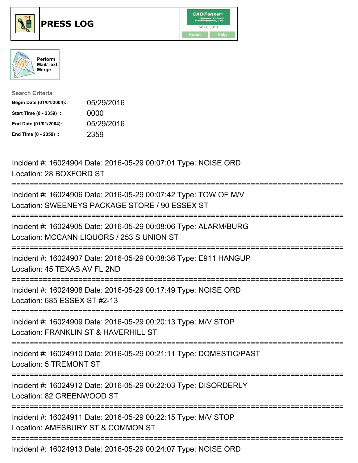





| <b>Search Criteria</b>    |            |
|---------------------------|------------|
| Begin Date (01/01/2004):: | 05/29/2016 |
| Start Time (0 - 2359) ::  | 0000       |
| End Date (01/01/2004)::   | 05/29/2016 |
| End Time (0 - 2359) ::    | 2359       |

| Incident #: 16024904 Date: 2016-05-29 00:07:01 Type: NOISE ORD<br>Location: 28 BOXFORD ST                                         |
|-----------------------------------------------------------------------------------------------------------------------------------|
| Incident #: 16024906 Date: 2016-05-29 00:07:42 Type: TOW OF M/V<br>Location: SWEENEYS PACKAGE STORE / 90 ESSEX ST                 |
| Incident #: 16024905 Date: 2016-05-29 00:08:06 Type: ALARM/BURG<br>Location: MCCANN LIQUORS / 253 S UNION ST                      |
| Incident #: 16024907 Date: 2016-05-29 00:08:36 Type: E911 HANGUP<br>Location: 45 TEXAS AV FL 2ND                                  |
| Incident #: 16024908 Date: 2016-05-29 00:17:49 Type: NOISE ORD<br>Location: 685 ESSEX ST #2-13<br>===============                 |
| Incident #: 16024909 Date: 2016-05-29 00:20:13 Type: M/V STOP<br>Location: FRANKLIN ST & HAVERHILL ST<br>:======================= |
| Incident #: 16024910 Date: 2016-05-29 00:21:11 Type: DOMESTIC/PAST<br><b>Location: 5 TREMONT ST</b>                               |
| Incident #: 16024912 Date: 2016-05-29 00:22:03 Type: DISORDERLY<br>Location: 82 GREENWOOD ST                                      |
| Incident #: 16024911 Date: 2016-05-29 00:22:15 Type: M/V STOP<br>Location: AMESBURY ST & COMMON ST                                |
| Incident #: 16024913 Date: 2016-05-29 00:24:07 Type: NOISE ORD                                                                    |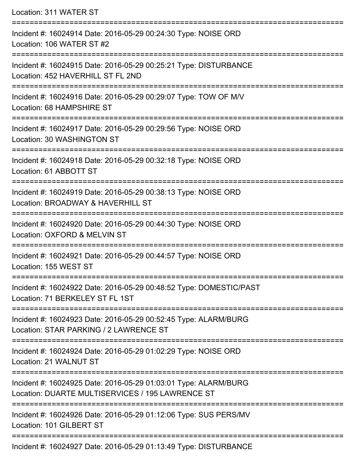Location: 311 WATER ST =========================================================================== Incident #: 16024914 Date: 2016-05-29 00:24:30 Type: NOISE ORD Location: 106 WATER ST #2 =========================================================================== Incident #: 16024915 Date: 2016-05-29 00:25:21 Type: DISTURBANCE Location: 452 HAVERHILL ST FL 2ND =========================================================================== Incident #: 16024916 Date: 2016-05-29 00:29:07 Type: TOW OF M/V Location: 68 HAMPSHIRE ST =========================================================================== Incident #: 16024917 Date: 2016-05-29 00:29:56 Type: NOISE ORD Location: 30 WASHINGTON ST =========================================================================== Incident #: 16024918 Date: 2016-05-29 00:32:18 Type: NOISE ORD Location: 61 ABBOTT ST =========================================================================== Incident #: 16024919 Date: 2016-05-29 00:38:13 Type: NOISE ORD Location: BROADWAY & HAVERHILL ST =========================================================================== Incident #: 16024920 Date: 2016-05-29 00:44:30 Type: NOISE ORD Location: OXFORD & MELVIN ST =========================================================================== Incident #: 16024921 Date: 2016-05-29 00:44:57 Type: NOISE ORD Location: 155 WEST ST =========================================================================== Incident #: 16024922 Date: 2016-05-29 00:48:52 Type: DOMESTIC/PAST Location: 71 BERKELEY ST FL 1ST =========================================================================== Incident #: 16024923 Date: 2016-05-29 00:52:45 Type: ALARM/BURG Location: STAR PARKING / 2 LAWRENCE ST =========================================================================== Incident #: 16024924 Date: 2016-05-29 01:02:29 Type: NOISE ORD Location: 21 WALNUT ST =========================================================================== Incident #: 16024925 Date: 2016-05-29 01:03:01 Type: ALARM/BURG Location: DUARTE MULTISERVICES / 195 LAWRENCE ST =========================================================================== Incident #: 16024926 Date: 2016-05-29 01:12:06 Type: SUS PERS/MV Location: 101 GILBERT ST ===========================================================================

Incident #: 16024927 Date: 2016-05-29 01:13:49 Type: DISTURBANCE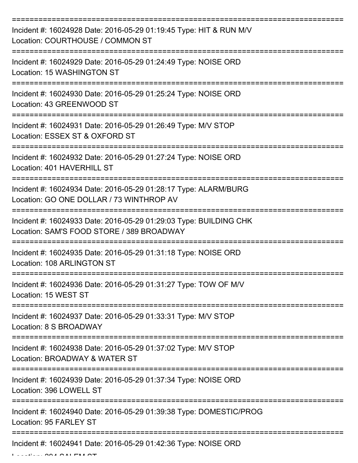| Incident #: 16024928 Date: 2016-05-29 01:19:45 Type: HIT & RUN M/V<br>Location: COURTHOUSE / COMMON ST         |
|----------------------------------------------------------------------------------------------------------------|
| Incident #: 16024929 Date: 2016-05-29 01:24:49 Type: NOISE ORD<br>Location: 15 WASHINGTON ST                   |
| Incident #: 16024930 Date: 2016-05-29 01:25:24 Type: NOISE ORD<br>Location: 43 GREENWOOD ST                    |
| Incident #: 16024931 Date: 2016-05-29 01:26:49 Type: M/V STOP<br>Location: ESSEX ST & OXFORD ST                |
| Incident #: 16024932 Date: 2016-05-29 01:27:24 Type: NOISE ORD<br>Location: 401 HAVERHILL ST                   |
| Incident #: 16024934 Date: 2016-05-29 01:28:17 Type: ALARM/BURG<br>Location: GO ONE DOLLAR / 73 WINTHROP AV    |
| Incident #: 16024933 Date: 2016-05-29 01:29:03 Type: BUILDING CHK<br>Location: SAM'S FOOD STORE / 389 BROADWAY |
| Incident #: 16024935 Date: 2016-05-29 01:31:18 Type: NOISE ORD<br>Location: 108 ARLINGTON ST                   |
| Incident #: 16024936 Date: 2016-05-29 01:31:27 Type: TOW OF M/V<br>Location: 15 WEST ST                        |
| Incident #: 16024937 Date: 2016-05-29 01:33:31 Type: M/V STOP<br>Location: 8 S BROADWAY                        |
| Incident #: 16024938 Date: 2016-05-29 01:37:02 Type: M/V STOP<br>Location: BROADWAY & WATER ST                 |
| Incident #: 16024939 Date: 2016-05-29 01:37:34 Type: NOISE ORD<br>Location: 396 LOWELL ST                      |
| Incident #: 16024940 Date: 2016-05-29 01:39:38 Type: DOMESTIC/PROG<br>Location: 95 FARLEY ST                   |
| Incident #: 16024941 Date: 2016-05-29 01:42:36 Type: NOISE ORD                                                 |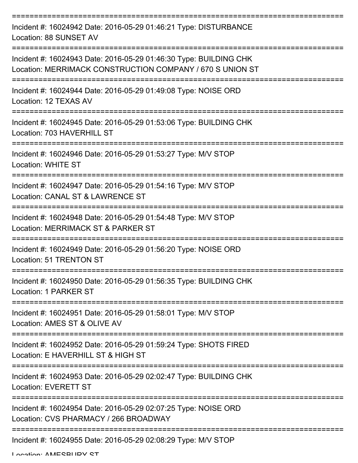| Incident #: 16024942 Date: 2016-05-29 01:46:21 Type: DISTURBANCE<br>Location: 88 SUNSET AV                                     |
|--------------------------------------------------------------------------------------------------------------------------------|
| Incident #: 16024943 Date: 2016-05-29 01:46:30 Type: BUILDING CHK<br>Location: MERRIMACK CONSTRUCTION COMPANY / 670 S UNION ST |
| Incident #: 16024944 Date: 2016-05-29 01:49:08 Type: NOISE ORD<br>Location: 12 TEXAS AV                                        |
| Incident #: 16024945 Date: 2016-05-29 01:53:06 Type: BUILDING CHK<br>Location: 703 HAVERHILL ST                                |
| Incident #: 16024946 Date: 2016-05-29 01:53:27 Type: M/V STOP<br><b>Location: WHITE ST</b>                                     |
| Incident #: 16024947 Date: 2016-05-29 01:54:16 Type: M/V STOP<br>Location: CANAL ST & LAWRENCE ST                              |
| Incident #: 16024948 Date: 2016-05-29 01:54:48 Type: M/V STOP<br>Location: MERRIMACK ST & PARKER ST                            |
| Incident #: 16024949 Date: 2016-05-29 01:56:20 Type: NOISE ORD<br>Location: 51 TRENTON ST                                      |
| Incident #: 16024950 Date: 2016-05-29 01:56:35 Type: BUILDING CHK<br>Location: 1 PARKER ST                                     |
| Incident #: 16024951 Date: 2016-05-29 01:58:01 Type: M/V STOP<br>Location: AMES ST & OLIVE AV                                  |
| Incident #: 16024952 Date: 2016-05-29 01:59:24 Type: SHOTS FIRED<br>Location: E HAVERHILL ST & HIGH ST                         |
| Incident #: 16024953 Date: 2016-05-29 02:02:47 Type: BUILDING CHK<br><b>Location: EVERETT ST</b>                               |
| Incident #: 16024954 Date: 2016-05-29 02:07:25 Type: NOISE ORD<br>Location: CVS PHARMACY / 266 BROADWAY                        |
| Incident #: 16024955 Date: 2016-05-29 02:08:29 Type: M/V STOP                                                                  |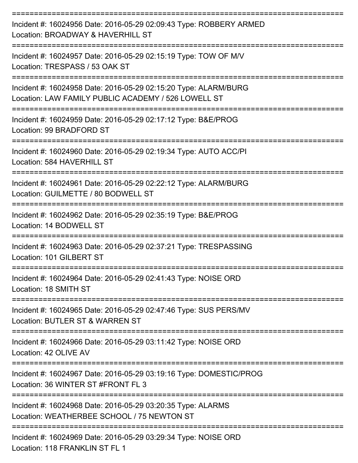| Incident #: 16024956 Date: 2016-05-29 02:09:43 Type: ROBBERY ARMED<br>Location: BROADWAY & HAVERHILL ST<br>:==========================    |
|-------------------------------------------------------------------------------------------------------------------------------------------|
| Incident #: 16024957 Date: 2016-05-29 02:15:19 Type: TOW OF M/V<br>Location: TRESPASS / 53 OAK ST                                         |
| Incident #: 16024958 Date: 2016-05-29 02:15:20 Type: ALARM/BURG<br>Location: LAW FAMILY PUBLIC ACADEMY / 526 LOWELL ST<br>:============== |
| Incident #: 16024959 Date: 2016-05-29 02:17:12 Type: B&E/PROG<br>Location: 99 BRADFORD ST                                                 |
| Incident #: 16024960 Date: 2016-05-29 02:19:34 Type: AUTO ACC/PI<br>Location: 584 HAVERHILL ST                                            |
| Incident #: 16024961 Date: 2016-05-29 02:22:12 Type: ALARM/BURG<br>Location: GUILMETTE / 80 BODWELL ST                                    |
| Incident #: 16024962 Date: 2016-05-29 02:35:19 Type: B&E/PROG<br>Location: 14 BODWELL ST                                                  |
| Incident #: 16024963 Date: 2016-05-29 02:37:21 Type: TRESPASSING<br>Location: 101 GILBERT ST                                              |
| Incident #: 16024964 Date: 2016-05-29 02:41:43 Type: NOISE ORD<br>Location: 18 SMITH ST                                                   |
| ----------------<br>Incident #: 16024965 Date: 2016-05-29 02:47:46 Type: SUS PERS/MV<br>Location: BUTLER ST & WARREN ST                   |
| Incident #: 16024966 Date: 2016-05-29 03:11:42 Type: NOISE ORD<br>Location: 42 OLIVE AV                                                   |
| Incident #: 16024967 Date: 2016-05-29 03:19:16 Type: DOMESTIC/PROG<br>Location: 36 WINTER ST #FRONT FL 3                                  |
| Incident #: 16024968 Date: 2016-05-29 03:20:35 Type: ALARMS<br>Location: WEATHERBEE SCHOOL / 75 NEWTON ST                                 |
| Incident #: 16024969 Date: 2016-05-29 03:29:34 Type: NOISE ORD<br>FOANUZU IN OT F                                                         |

Location: 118 FRANKLIN ST FL 1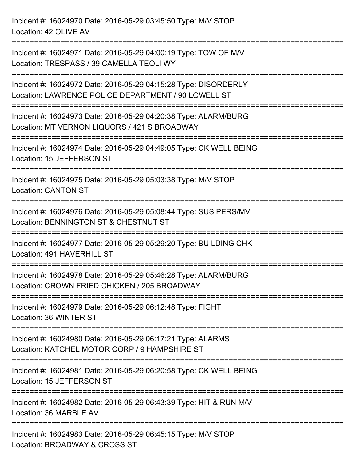Incident #: 16024970 Date: 2016-05-29 03:45:50 Type: M/V STOP Location: 42 OLIVE AV =========================================================================== Incident #: 16024971 Date: 2016-05-29 04:00:19 Type: TOW OF M/V Location: TRESPASS / 39 CAMELLA TEOLI WY =========================================================================== Incident #: 16024972 Date: 2016-05-29 04:15:28 Type: DISORDERLY Location: LAWRENCE POLICE DEPARTMENT / 90 LOWELL ST =========================================================================== Incident #: 16024973 Date: 2016-05-29 04:20:38 Type: ALARM/BURG Location: MT VERNON LIQUORS / 421 S BROADWAY =========================================================================== Incident #: 16024974 Date: 2016-05-29 04:49:05 Type: CK WELL BEING Location: 15 JEFFERSON ST =========================================================================== Incident #: 16024975 Date: 2016-05-29 05:03:38 Type: M/V STOP Location: CANTON ST =========================================================================== Incident #: 16024976 Date: 2016-05-29 05:08:44 Type: SUS PERS/MV Location: BENNINGTON ST & CHESTNUT ST =========================================================================== Incident #: 16024977 Date: 2016-05-29 05:29:20 Type: BUILDING CHK Location: 491 HAVERHILL ST =========================================================================== Incident #: 16024978 Date: 2016-05-29 05:46:28 Type: ALARM/BURG Location: CROWN FRIED CHICKEN / 205 BROADWAY =========================================================================== Incident #: 16024979 Date: 2016-05-29 06:12:48 Type: FIGHT Location: 36 WINTER ST =========================================================================== Incident #: 16024980 Date: 2016-05-29 06:17:21 Type: ALARMS Location: KATCHEL MOTOR CORP / 9 HAMPSHIRE ST ===========================================================================

Incident #: 16024981 Date: 2016-05-29 06:20:58 Type: CK WELL BEING Location: 15 JEFFERSON ST

===========================================================================

Incident #: 16024982 Date: 2016-05-29 06:43:39 Type: HIT & RUN M/V Location: 36 MARBLE AV

===========================================================================

Incident #: 16024983 Date: 2016-05-29 06:45:15 Type: M/V STOP Location: BROADWAY & CROSS ST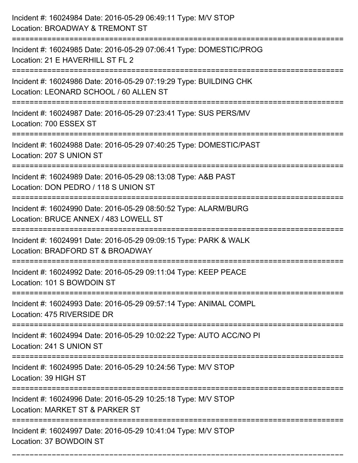| Incident #: 16024984 Date: 2016-05-29 06:49:11 Type: M/V STOP<br>Location: BROADWAY & TREMONT ST                                                         |
|----------------------------------------------------------------------------------------------------------------------------------------------------------|
| :====================<br>Incident #: 16024985 Date: 2016-05-29 07:06:41 Type: DOMESTIC/PROG<br>Location: 21 E HAVERHILL ST FL 2                          |
| Incident #: 16024986 Date: 2016-05-29 07:19:29 Type: BUILDING CHK<br>Location: LEONARD SCHOOL / 60 ALLEN ST                                              |
| Incident #: 16024987 Date: 2016-05-29 07:23:41 Type: SUS PERS/MV<br>Location: 700 ESSEX ST                                                               |
| Incident #: 16024988 Date: 2016-05-29 07:40:25 Type: DOMESTIC/PAST<br>Location: 207 S UNION ST<br>================================<br>------------------ |
| Incident #: 16024989 Date: 2016-05-29 08:13:08 Type: A&B PAST<br>Location: DON PEDRO / 118 S UNION ST                                                    |
| Incident #: 16024990 Date: 2016-05-29 08:50:52 Type: ALARM/BURG<br>Location: BRUCE ANNEX / 483 LOWELL ST                                                 |
| Incident #: 16024991 Date: 2016-05-29 09:09:15 Type: PARK & WALK<br>Location: BRADFORD ST & BROADWAY                                                     |
| Incident #: 16024992 Date: 2016-05-29 09:11:04 Type: KEEP PEACE<br>Location: 101 S BOWDOIN ST                                                            |
| Incident #: 16024993 Date: 2016-05-29 09:57:14 Type: ANIMAL COMPL<br>Location: 475 RIVERSIDE DR                                                          |
| Incident #: 16024994 Date: 2016-05-29 10:02:22 Type: AUTO ACC/NO PI<br>Location: 241 S UNION ST                                                          |
| Incident #: 16024995 Date: 2016-05-29 10:24:56 Type: M/V STOP<br>Location: 39 HIGH ST                                                                    |
| Incident #: 16024996 Date: 2016-05-29 10:25:18 Type: M/V STOP<br>Location: MARKET ST & PARKER ST<br>----------------------------                         |
| Incident #: 16024997 Date: 2016-05-29 10:41:04 Type: M/V STOP<br>Location: 37 BOWDOIN ST                                                                 |

===========================================================================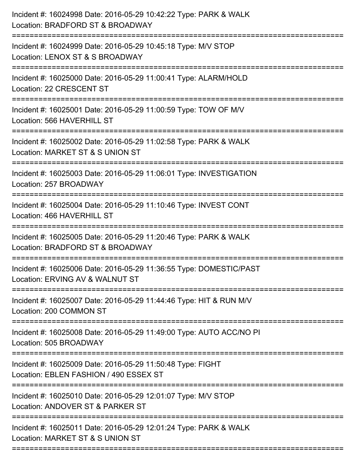| Incident #: 16024998 Date: 2016-05-29 10:42:22 Type: PARK & WALK<br>Location: BRADFORD ST & BROADWAY                       |
|----------------------------------------------------------------------------------------------------------------------------|
| ======================<br>Incident #: 16024999 Date: 2016-05-29 10:45:18 Type: M/V STOP<br>Location: LENOX ST & S BROADWAY |
| :========================<br>Incident #: 16025000 Date: 2016-05-29 11:00:41 Type: ALARM/HOLD<br>Location: 22 CRESCENT ST   |
| Incident #: 16025001 Date: 2016-05-29 11:00:59 Type: TOW OF M/V<br>Location: 566 HAVERHILL ST                              |
| Incident #: 16025002 Date: 2016-05-29 11:02:58 Type: PARK & WALK<br>Location: MARKET ST & S UNION ST                       |
| Incident #: 16025003 Date: 2016-05-29 11:06:01 Type: INVESTIGATION<br>Location: 257 BROADWAY                               |
| Incident #: 16025004 Date: 2016-05-29 11:10:46 Type: INVEST CONT<br>Location: 466 HAVERHILL ST                             |
| Incident #: 16025005 Date: 2016-05-29 11:20:46 Type: PARK & WALK<br>Location: BRADFORD ST & BROADWAY                       |
| Incident #: 16025006 Date: 2016-05-29 11:36:55 Type: DOMESTIC/PAST<br>Location: ERVING AV & WALNUT ST                      |
| Incident #: 16025007 Date: 2016-05-29 11:44:46 Type: HIT & RUN M/V<br>Location: 200 COMMON ST                              |
| Incident #: 16025008 Date: 2016-05-29 11:49:00 Type: AUTO ACC/NO PI<br>Location: 505 BROADWAY                              |
| Incident #: 16025009 Date: 2016-05-29 11:50:48 Type: FIGHT<br>Location: EBLEN FASHION / 490 ESSEX ST                       |
| Incident #: 16025010 Date: 2016-05-29 12:01:07 Type: M/V STOP<br>Location: ANDOVER ST & PARKER ST                          |
| Incident #: 16025011 Date: 2016-05-29 12:01:24 Type: PARK & WALK<br>Location: MARKET ST & S UNION ST                       |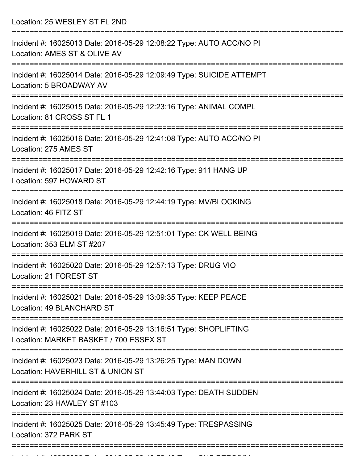Location: 25 WESLEY ST FL 2ND

| Incident #: 16025013 Date: 2016-05-29 12:08:22 Type: AUTO ACC/NO PI<br>Location: AMES ST & OLIVE AV                           |
|-------------------------------------------------------------------------------------------------------------------------------|
| Incident #: 16025014 Date: 2016-05-29 12:09:49 Type: SUICIDE ATTEMPT<br>Location: 5 BROADWAY AV                               |
| Incident #: 16025015 Date: 2016-05-29 12:23:16 Type: ANIMAL COMPL<br>Location: 81 CROSS ST FL 1                               |
| Incident #: 16025016 Date: 2016-05-29 12:41:08 Type: AUTO ACC/NO PI<br>Location: 275 AMES ST                                  |
| Incident #: 16025017 Date: 2016-05-29 12:42:16 Type: 911 HANG UP<br>Location: 597 HOWARD ST                                   |
| Incident #: 16025018 Date: 2016-05-29 12:44:19 Type: MV/BLOCKING<br>Location: 46 FITZ ST                                      |
| Incident #: 16025019 Date: 2016-05-29 12:51:01 Type: CK WELL BEING<br>Location: 353 ELM ST #207                               |
| Incident #: 16025020 Date: 2016-05-29 12:57:13 Type: DRUG VIO<br>Location: 21 FOREST ST                                       |
| Incident #: 16025021 Date: 2016-05-29 13:09:35 Type: KEEP PEACE<br>Location: 49 BLANCHARD ST                                  |
| ===============<br>Incident #: 16025022 Date: 2016-05-29 13:16:51 Type: SHOPLIFTING<br>Location: MARKET BASKET / 700 ESSEX ST |
| Incident #: 16025023 Date: 2016-05-29 13:26:25 Type: MAN DOWN<br>Location: HAVERHILL ST & UNION ST                            |
| Incident #: 16025024 Date: 2016-05-29 13:44:03 Type: DEATH SUDDEN<br>Location: 23 HAWLEY ST #103                              |
| Incident #: 16025025 Date: 2016-05-29 13:45:49 Type: TRESPASSING<br>Location: 372 PARK ST                                     |
|                                                                                                                               |

Incident #: 16025026 Date: 2016 05 29 13:52:40 Type: SUS PERS/MV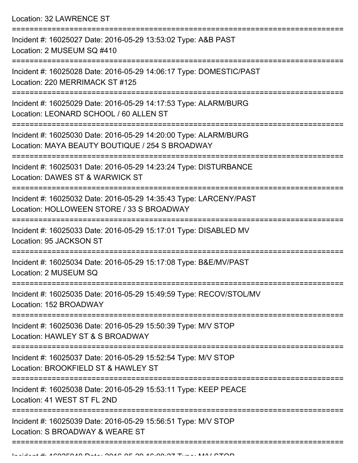Location: 32 LAWRENCE ST

| Incident #: 16025027 Date: 2016-05-29 13:53:02 Type: A&B PAST<br>Location: 2 MUSEUM SQ #410                        |
|--------------------------------------------------------------------------------------------------------------------|
| Incident #: 16025028 Date: 2016-05-29 14:06:17 Type: DOMESTIC/PAST<br>Location: 220 MERRIMACK ST #125              |
| Incident #: 16025029 Date: 2016-05-29 14:17:53 Type: ALARM/BURG<br>Location: LEONARD SCHOOL / 60 ALLEN ST          |
| Incident #: 16025030 Date: 2016-05-29 14:20:00 Type: ALARM/BURG<br>Location: MAYA BEAUTY BOUTIQUE / 254 S BROADWAY |
| Incident #: 16025031 Date: 2016-05-29 14:23:24 Type: DISTURBANCE<br>Location: DAWES ST & WARWICK ST                |
| Incident #: 16025032 Date: 2016-05-29 14:35:43 Type: LARCENY/PAST<br>Location: HOLLOWEEN STORE / 33 S BROADWAY     |
| Incident #: 16025033 Date: 2016-05-29 15:17:01 Type: DISABLED MV<br>Location: 95 JACKSON ST                        |
| Incident #: 16025034 Date: 2016-05-29 15:17:08 Type: B&E/MV/PAST<br>Location: 2 MUSEUM SQ                          |
| Incident #: 16025035 Date: 2016-05-29 15:49:59 Type: RECOV/STOL/MV<br>Location: 152 BROADWAY                       |
| Incident #: 16025036 Date: 2016-05-29 15:50:39 Type: M/V STOP<br>Location: HAWLEY ST & S BROADWAY                  |
| Incident #: 16025037 Date: 2016-05-29 15:52:54 Type: M/V STOP<br>Location: BROOKFIELD ST & HAWLEY ST               |
| Incident #: 16025038 Date: 2016-05-29 15:53:11 Type: KEEP PEACE<br>Location: 41 WEST ST FL 2ND                     |
| Incident #: 16025039 Date: 2016-05-29 15:56:51 Type: M/V STOP<br>Location: S BROADWAY & WEARE ST                   |
|                                                                                                                    |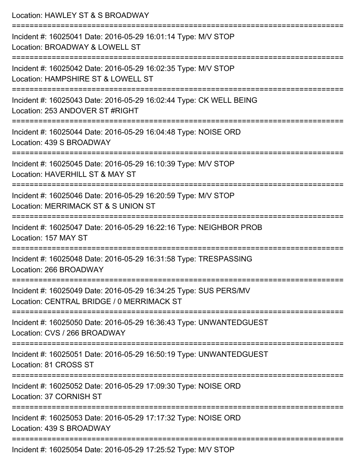| Location: HAWLEY ST & S BROADWAY                                                                                                  |
|-----------------------------------------------------------------------------------------------------------------------------------|
| Incident #: 16025041 Date: 2016-05-29 16:01:14 Type: M/V STOP<br>Location: BROADWAY & LOWELL ST                                   |
| :========================<br>Incident #: 16025042 Date: 2016-05-29 16:02:35 Type: M/V STOP<br>Location: HAMPSHIRE ST & LOWELL ST  |
| Incident #: 16025043 Date: 2016-05-29 16:02:44 Type: CK WELL BEING<br>Location: 253 ANDOVER ST #RIGHT                             |
| :==================================<br>Incident #: 16025044 Date: 2016-05-29 16:04:48 Type: NOISE ORD<br>Location: 439 S BROADWAY |
| Incident #: 16025045 Date: 2016-05-29 16:10:39 Type: M/V STOP<br>Location: HAVERHILL ST & MAY ST                                  |
| Incident #: 16025046 Date: 2016-05-29 16:20:59 Type: M/V STOP<br>Location: MERRIMACK ST & S UNION ST                              |
| Incident #: 16025047 Date: 2016-05-29 16:22:16 Type: NEIGHBOR PROB<br>Location: 157 MAY ST                                        |
| Incident #: 16025048 Date: 2016-05-29 16:31:58 Type: TRESPASSING<br>Location: 266 BROADWAY                                        |
| Incident #: 16025049 Date: 2016-05-29 16:34:25 Type: SUS PERS/MV<br>Location: CENTRAL BRIDGE / 0 MERRIMACK ST                     |
| Incident #: 16025050 Date: 2016-05-29 16:36:43 Type: UNWANTEDGUEST<br>Location: CVS / 266 BROADWAY                                |
| Incident #: 16025051 Date: 2016-05-29 16:50:19 Type: UNWANTEDGUEST<br>Location: 81 CROSS ST                                       |
| =======================<br>Incident #: 16025052 Date: 2016-05-29 17:09:30 Type: NOISE ORD<br>Location: 37 CORNISH ST              |
| Incident #: 16025053 Date: 2016-05-29 17:17:32 Type: NOISE ORD<br>Location: 439 S BROADWAY                                        |
| Incident #: 16025054 Date: 2016-05-29 17:25:52 Type: M/V STOP                                                                     |

Incident #: 16025054 Date: 2016-05-29 17:25:52 Type: M/V STOP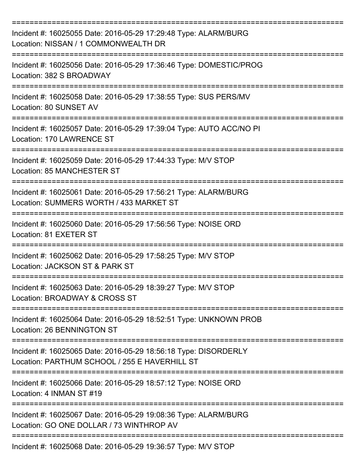| Incident #: 16025055 Date: 2016-05-29 17:29:48 Type: ALARM/BURG<br>Location: NISSAN / 1 COMMONWEALTH DR                       |
|-------------------------------------------------------------------------------------------------------------------------------|
| Incident #: 16025056 Date: 2016-05-29 17:36:46 Type: DOMESTIC/PROG<br>Location: 382 S BROADWAY                                |
| Incident #: 16025058 Date: 2016-05-29 17:38:55 Type: SUS PERS/MV<br>Location: 80 SUNSET AV                                    |
| Incident #: 16025057 Date: 2016-05-29 17:39:04 Type: AUTO ACC/NO PI<br>Location: 170 LAWRENCE ST                              |
| Incident #: 16025059 Date: 2016-05-29 17:44:33 Type: M/V STOP<br>Location: 85 MANCHESTER ST                                   |
| Incident #: 16025061 Date: 2016-05-29 17:56:21 Type: ALARM/BURG<br>Location: SUMMERS WORTH / 433 MARKET ST<br>--------------- |
| Incident #: 16025060 Date: 2016-05-29 17:56:56 Type: NOISE ORD<br>Location: 81 EXETER ST                                      |
| Incident #: 16025062 Date: 2016-05-29 17:58:25 Type: M/V STOP<br>Location: JACKSON ST & PARK ST                               |
| Incident #: 16025063 Date: 2016-05-29 18:39:27 Type: M/V STOP<br>Location: BROADWAY & CROSS ST                                |
| Incident #: 16025064 Date: 2016-05-29 18:52:51 Type: UNKNOWN PROB<br>Location: 26 BENNINGTON ST                               |
| Incident #: 16025065 Date: 2016-05-29 18:56:18 Type: DISORDERLY<br>Location: PARTHUM SCHOOL / 255 E HAVERHILL ST              |
| Incident #: 16025066 Date: 2016-05-29 18:57:12 Type: NOISE ORD<br>Location: 4 INMAN ST #19                                    |
| Incident #: 16025067 Date: 2016-05-29 19:08:36 Type: ALARM/BURG<br>Location: GO ONE DOLLAR / 73 WINTHROP AV                   |
| Incident #: 16025068 Date: 2016-05-29 19:36:57 Type: M/V STOP                                                                 |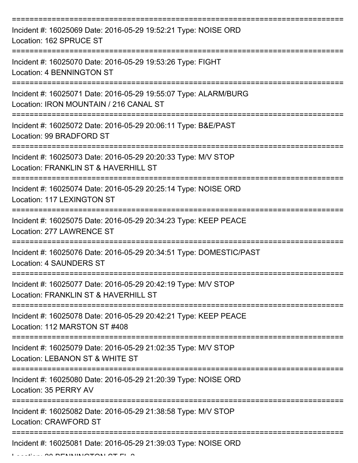| Incident #: 16025069 Date: 2016-05-29 19:52:21 Type: NOISE ORD<br>Location: 162 SPRUCE ST                  |
|------------------------------------------------------------------------------------------------------------|
| Incident #: 16025070 Date: 2016-05-29 19:53:26 Type: FIGHT<br><b>Location: 4 BENNINGTON ST</b>             |
| Incident #: 16025071 Date: 2016-05-29 19:55:07 Type: ALARM/BURG<br>Location: IRON MOUNTAIN / 216 CANAL ST  |
| Incident #: 16025072 Date: 2016-05-29 20:06:11 Type: B&E/PAST<br>Location: 99 BRADFORD ST                  |
| Incident #: 16025073 Date: 2016-05-29 20:20:33 Type: M/V STOP<br>Location: FRANKLIN ST & HAVERHILL ST      |
| Incident #: 16025074 Date: 2016-05-29 20:25:14 Type: NOISE ORD<br>Location: 117 LEXINGTON ST               |
| Incident #: 16025075 Date: 2016-05-29 20:34:23 Type: KEEP PEACE<br>Location: 277 LAWRENCE ST<br>========== |
| Incident #: 16025076 Date: 2016-05-29 20:34:51 Type: DOMESTIC/PAST<br><b>Location: 4 SAUNDERS ST</b>       |
| Incident #: 16025077 Date: 2016-05-29 20:42:19 Type: M/V STOP<br>Location: FRANKLIN ST & HAVERHILL ST      |
| Incident #: 16025078 Date: 2016-05-29 20:42:21 Type: KEEP PEACE<br>Location: 112 MARSTON ST #408           |
| Incident #: 16025079 Date: 2016-05-29 21:02:35 Type: M/V STOP<br>Location: LEBANON ST & WHITE ST           |
| Incident #: 16025080 Date: 2016-05-29 21:20:39 Type: NOISE ORD<br>Location: 35 PERRY AV                    |
| Incident #: 16025082 Date: 2016-05-29 21:38:58 Type: M/V STOP<br><b>Location: CRAWFORD ST</b>              |
| Incident #: 16025081 Date: 2016-05-29 21:39:03 Type: NOISE ORD                                             |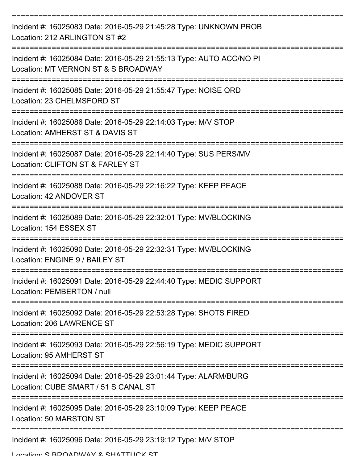| Incident #: 16025083 Date: 2016-05-29 21:45:28 Type: UNKNOWN PROB<br>Location: 212 ARLINGTON ST #2         |
|------------------------------------------------------------------------------------------------------------|
| Incident #: 16025084 Date: 2016-05-29 21:55:13 Type: AUTO ACC/NO PI<br>Location: MT VERNON ST & S BROADWAY |
| Incident #: 16025085 Date: 2016-05-29 21:55:47 Type: NOISE ORD<br>Location: 23 CHELMSFORD ST               |
| Incident #: 16025086 Date: 2016-05-29 22:14:03 Type: M/V STOP<br>Location: AMHERST ST & DAVIS ST           |
| Incident #: 16025087 Date: 2016-05-29 22:14:40 Type: SUS PERS/MV<br>Location: CLIFTON ST & FARLEY ST       |
| Incident #: 16025088 Date: 2016-05-29 22:16:22 Type: KEEP PEACE<br>Location: 42 ANDOVER ST                 |
| Incident #: 16025089 Date: 2016-05-29 22:32:01 Type: MV/BLOCKING<br>Location: 154 ESSEX ST                 |
| Incident #: 16025090 Date: 2016-05-29 22:32:31 Type: MV/BLOCKING<br>Location: ENGINE 9 / BAILEY ST         |
| Incident #: 16025091 Date: 2016-05-29 22:44:40 Type: MEDIC SUPPORT<br>Location: PEMBERTON / null           |
| Incident #: 16025092 Date: 2016-05-29 22:53:28 Type: SHOTS FIRED<br>Location: 206 LAWRENCE ST              |
| Incident #: 16025093 Date: 2016-05-29 22:56:19 Type: MEDIC SUPPORT<br>Location: 95 AMHERST ST              |
| Incident #: 16025094 Date: 2016-05-29 23:01:44 Type: ALARM/BURG<br>Location: CUBE SMART / 51 S CANAL ST    |
| Incident #: 16025095 Date: 2016-05-29 23:10:09 Type: KEEP PEACE<br>Location: 50 MARSTON ST                 |
| Incident #: 16025096 Date: 2016-05-29 23:19:12 Type: M/V STOP                                              |

Location: C BDOADWAV & CHATTLICK CT